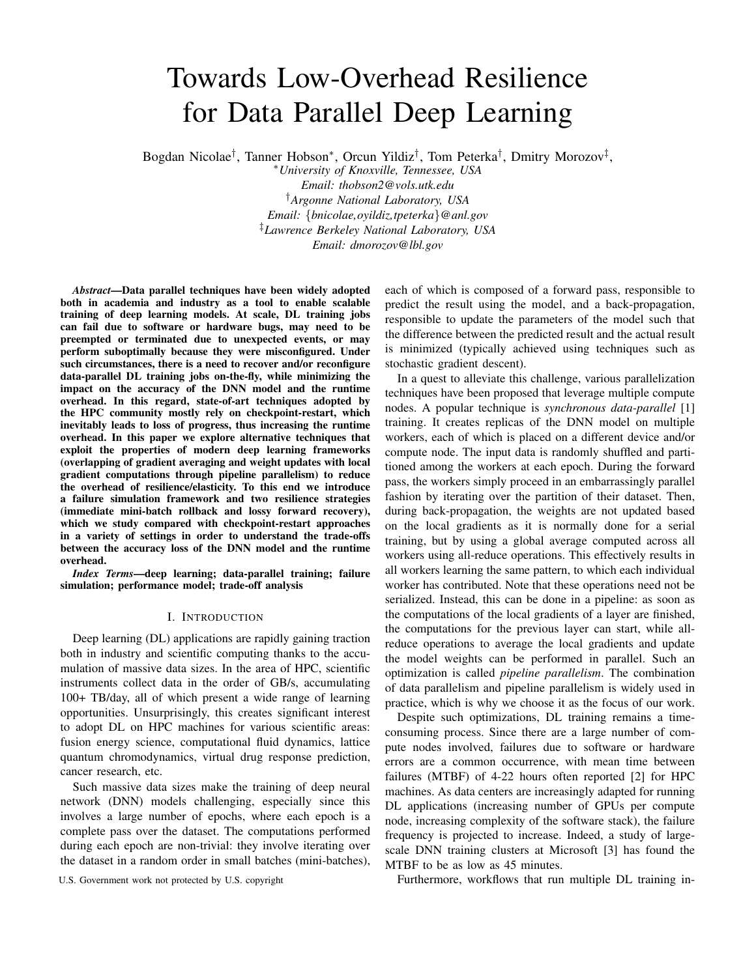# Towards Low-Overhead Resilience for Data Parallel Deep Learning

Bogdan Nicolae<sup>†</sup>, Tanner Hobson\*, Orcun Yildiz<sup>†</sup>, Tom Peterka<sup>†</sup>, Dmitry Morozov<sup>‡</sup>,

<sup>∗</sup>*University of Knoxville, Tennessee, USA Email: thobson2@vols.utk.edu*

†*Argonne National Laboratory, USA Email:* {*bnicolae,oyildiz,tpeterka*}*@anl.gov* ‡*Lawrence Berkeley National Laboratory, USA Email: dmorozov@lbl.gov*

*Abstract*—Data parallel techniques have been widely adopted both in academia and industry as a tool to enable scalable training of deep learning models. At scale, DL training jobs can fail due to software or hardware bugs, may need to be preempted or terminated due to unexpected events, or may perform suboptimally because they were misconfigured. Under such circumstances, there is a need to recover and/or reconfigure data-parallel DL training jobs on-the-fly, while minimizing the impact on the accuracy of the DNN model and the runtime overhead. In this regard, state-of-art techniques adopted by the HPC community mostly rely on checkpoint-restart, which inevitably leads to loss of progress, thus increasing the runtime overhead. In this paper we explore alternative techniques that exploit the properties of modern deep learning frameworks (overlapping of gradient averaging and weight updates with local gradient computations through pipeline parallelism) to reduce the overhead of resilience/elasticity. To this end we introduce a failure simulation framework and two resilience strategies (immediate mini-batch rollback and lossy forward recovery), which we study compared with checkpoint-restart approaches in a variety of settings in order to understand the trade-offs between the accuracy loss of the DNN model and the runtime overhead.

*Index Terms*—deep learning; data-parallel training; failure simulation; performance model; trade-off analysis

## I. INTRODUCTION

Deep learning (DL) applications are rapidly gaining traction both in industry and scientific computing thanks to the accumulation of massive data sizes. In the area of HPC, scientific instruments collect data in the order of GB/s, accumulating 100+ TB/day, all of which present a wide range of learning opportunities. Unsurprisingly, this creates significant interest to adopt DL on HPC machines for various scientific areas: fusion energy science, computational fluid dynamics, lattice quantum chromodynamics, virtual drug response prediction, cancer research, etc.

Such massive data sizes make the training of deep neural network (DNN) models challenging, especially since this involves a large number of epochs, where each epoch is a complete pass over the dataset. The computations performed during each epoch are non-trivial: they involve iterating over the dataset in a random order in small batches (mini-batches),

each of which is composed of a forward pass, responsible to predict the result using the model, and a back-propagation, responsible to update the parameters of the model such that the difference between the predicted result and the actual result is minimized (typically achieved using techniques such as stochastic gradient descent).

In a quest to alleviate this challenge, various parallelization techniques have been proposed that leverage multiple compute nodes. A popular technique is *synchronous data-parallel* [1] training. It creates replicas of the DNN model on multiple workers, each of which is placed on a different device and/or compute node. The input data is randomly shuffled and partitioned among the workers at each epoch. During the forward pass, the workers simply proceed in an embarrassingly parallel fashion by iterating over the partition of their dataset. Then, during back-propagation, the weights are not updated based on the local gradients as it is normally done for a serial training, but by using a global average computed across all workers using all-reduce operations. This effectively results in all workers learning the same pattern, to which each individual worker has contributed. Note that these operations need not be serialized. Instead, this can be done in a pipeline: as soon as the computations of the local gradients of a layer are finished, the computations for the previous layer can start, while allreduce operations to average the local gradients and update the model weights can be performed in parallel. Such an optimization is called *pipeline parallelism*. The combination of data parallelism and pipeline parallelism is widely used in practice, which is why we choose it as the focus of our work.

Despite such optimizations, DL training remains a timeconsuming process. Since there are a large number of compute nodes involved, failures due to software or hardware errors are a common occurrence, with mean time between failures (MTBF) of 4-22 hours often reported [2] for HPC machines. As data centers are increasingly adapted for running DL applications (increasing number of GPUs per compute node, increasing complexity of the software stack), the failure frequency is projected to increase. Indeed, a study of largescale DNN training clusters at Microsoft [3] has found the MTBF to be as low as 45 minutes.

U.S. Government work not protected by U.S. copyright Furthermore, workflows that run multiple DL training in-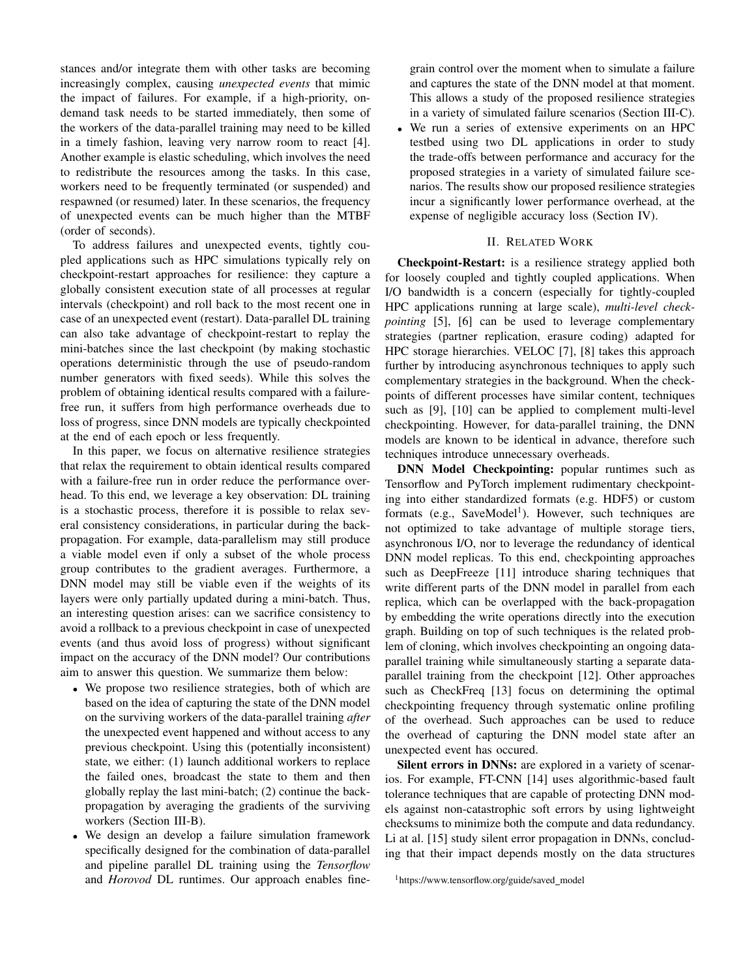stances and/or integrate them with other tasks are becoming increasingly complex, causing *unexpected events* that mimic the impact of failures. For example, if a high-priority, ondemand task needs to be started immediately, then some of the workers of the data-parallel training may need to be killed in a timely fashion, leaving very narrow room to react [4]. Another example is elastic scheduling, which involves the need to redistribute the resources among the tasks. In this case, workers need to be frequently terminated (or suspended) and respawned (or resumed) later. In these scenarios, the frequency of unexpected events can be much higher than the MTBF (order of seconds).

To address failures and unexpected events, tightly coupled applications such as HPC simulations typically rely on checkpoint-restart approaches for resilience: they capture a globally consistent execution state of all processes at regular intervals (checkpoint) and roll back to the most recent one in case of an unexpected event (restart). Data-parallel DL training can also take advantage of checkpoint-restart to replay the mini-batches since the last checkpoint (by making stochastic operations deterministic through the use of pseudo-random number generators with fixed seeds). While this solves the problem of obtaining identical results compared with a failurefree run, it suffers from high performance overheads due to loss of progress, since DNN models are typically checkpointed at the end of each epoch or less frequently.

In this paper, we focus on alternative resilience strategies that relax the requirement to obtain identical results compared with a failure-free run in order reduce the performance overhead. To this end, we leverage a key observation: DL training is a stochastic process, therefore it is possible to relax several consistency considerations, in particular during the backpropagation. For example, data-parallelism may still produce a viable model even if only a subset of the whole process group contributes to the gradient averages. Furthermore, a DNN model may still be viable even if the weights of its layers were only partially updated during a mini-batch. Thus, an interesting question arises: can we sacrifice consistency to avoid a rollback to a previous checkpoint in case of unexpected events (and thus avoid loss of progress) without significant impact on the accuracy of the DNN model? Our contributions aim to answer this question. We summarize them below:

- We propose two resilience strategies, both of which are based on the idea of capturing the state of the DNN model on the surviving workers of the data-parallel training *after* the unexpected event happened and without access to any previous checkpoint. Using this (potentially inconsistent) state, we either: (1) launch additional workers to replace the failed ones, broadcast the state to them and then globally replay the last mini-batch; (2) continue the backpropagation by averaging the gradients of the surviving workers (Section III-B).
- We design an develop a failure simulation framework specifically designed for the combination of data-parallel and pipeline parallel DL training using the *Tensorflow* and *Horovod* DL runtimes. Our approach enables fine-

grain control over the moment when to simulate a failure and captures the state of the DNN model at that moment. This allows a study of the proposed resilience strategies in a variety of simulated failure scenarios (Section III-C).

• We run a series of extensive experiments on an HPC testbed using two DL applications in order to study the trade-offs between performance and accuracy for the proposed strategies in a variety of simulated failure scenarios. The results show our proposed resilience strategies incur a significantly lower performance overhead, at the expense of negligible accuracy loss (Section IV).

## II. RELATED WORK

Checkpoint-Restart: is a resilience strategy applied both for loosely coupled and tightly coupled applications. When I/O bandwidth is a concern (especially for tightly-coupled HPC applications running at large scale), *multi-level checkpointing* [5], [6] can be used to leverage complementary strategies (partner replication, erasure coding) adapted for HPC storage hierarchies. VELOC [7], [8] takes this approach further by introducing asynchronous techniques to apply such complementary strategies in the background. When the checkpoints of different processes have similar content, techniques such as [9], [10] can be applied to complement multi-level checkpointing. However, for data-parallel training, the DNN models are known to be identical in advance, therefore such techniques introduce unnecessary overheads.

DNN Model Checkpointing: popular runtimes such as Tensorflow and PyTorch implement rudimentary checkpointing into either standardized formats (e.g. HDF5) or custom formats (e.g., SaveModel<sup>1</sup>). However, such techniques are not optimized to take advantage of multiple storage tiers, asynchronous I/O, nor to leverage the redundancy of identical DNN model replicas. To this end, checkpointing approaches such as DeepFreeze [11] introduce sharing techniques that write different parts of the DNN model in parallel from each replica, which can be overlapped with the back-propagation by embedding the write operations directly into the execution graph. Building on top of such techniques is the related problem of cloning, which involves checkpointing an ongoing dataparallel training while simultaneously starting a separate dataparallel training from the checkpoint [12]. Other approaches such as CheckFreq [13] focus on determining the optimal checkpointing frequency through systematic online profiling of the overhead. Such approaches can be used to reduce the overhead of capturing the DNN model state after an unexpected event has occured.

Silent errors in DNNs: are explored in a variety of scenarios. For example, FT-CNN [14] uses algorithmic-based fault tolerance techniques that are capable of protecting DNN models against non-catastrophic soft errors by using lightweight checksums to minimize both the compute and data redundancy. Li at al. [15] study silent error propagation in DNNs, concluding that their impact depends mostly on the data structures

<sup>1</sup>https://www.tensorflow.org/guide/saved model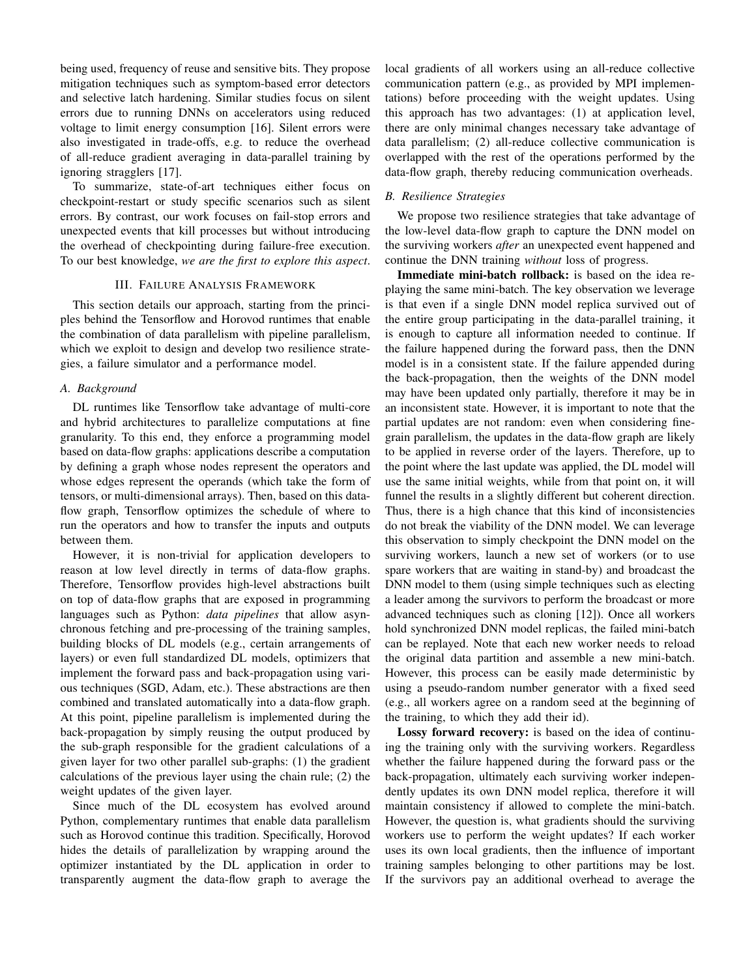being used, frequency of reuse and sensitive bits. They propose mitigation techniques such as symptom-based error detectors and selective latch hardening. Similar studies focus on silent errors due to running DNNs on accelerators using reduced voltage to limit energy consumption [16]. Silent errors were also investigated in trade-offs, e.g. to reduce the overhead of all-reduce gradient averaging in data-parallel training by ignoring stragglers [17].

To summarize, state-of-art techniques either focus on checkpoint-restart or study specific scenarios such as silent errors. By contrast, our work focuses on fail-stop errors and unexpected events that kill processes but without introducing the overhead of checkpointing during failure-free execution. To our best knowledge, *we are the first to explore this aspect*.

## III. FAILURE ANALYSIS FRAMEWORK

This section details our approach, starting from the principles behind the Tensorflow and Horovod runtimes that enable the combination of data parallelism with pipeline parallelism, which we exploit to design and develop two resilience strategies, a failure simulator and a performance model.

#### *A. Background*

DL runtimes like Tensorflow take advantage of multi-core and hybrid architectures to parallelize computations at fine granularity. To this end, they enforce a programming model based on data-flow graphs: applications describe a computation by defining a graph whose nodes represent the operators and whose edges represent the operands (which take the form of tensors, or multi-dimensional arrays). Then, based on this dataflow graph, Tensorflow optimizes the schedule of where to run the operators and how to transfer the inputs and outputs between them.

However, it is non-trivial for application developers to reason at low level directly in terms of data-flow graphs. Therefore, Tensorflow provides high-level abstractions built on top of data-flow graphs that are exposed in programming languages such as Python: *data pipelines* that allow asynchronous fetching and pre-processing of the training samples, building blocks of DL models (e.g., certain arrangements of layers) or even full standardized DL models, optimizers that implement the forward pass and back-propagation using various techniques (SGD, Adam, etc.). These abstractions are then combined and translated automatically into a data-flow graph. At this point, pipeline parallelism is implemented during the back-propagation by simply reusing the output produced by the sub-graph responsible for the gradient calculations of a given layer for two other parallel sub-graphs: (1) the gradient calculations of the previous layer using the chain rule; (2) the weight updates of the given layer.

Since much of the DL ecosystem has evolved around Python, complementary runtimes that enable data parallelism such as Horovod continue this tradition. Specifically, Horovod hides the details of parallelization by wrapping around the optimizer instantiated by the DL application in order to transparently augment the data-flow graph to average the local gradients of all workers using an all-reduce collective communication pattern (e.g., as provided by MPI implementations) before proceeding with the weight updates. Using this approach has two advantages: (1) at application level, there are only minimal changes necessary take advantage of data parallelism; (2) all-reduce collective communication is overlapped with the rest of the operations performed by the data-flow graph, thereby reducing communication overheads.

## *B. Resilience Strategies*

We propose two resilience strategies that take advantage of the low-level data-flow graph to capture the DNN model on the surviving workers *after* an unexpected event happened and continue the DNN training *without* loss of progress.

Immediate mini-batch rollback: is based on the idea replaying the same mini-batch. The key observation we leverage is that even if a single DNN model replica survived out of the entire group participating in the data-parallel training, it is enough to capture all information needed to continue. If the failure happened during the forward pass, then the DNN model is in a consistent state. If the failure appended during the back-propagation, then the weights of the DNN model may have been updated only partially, therefore it may be in an inconsistent state. However, it is important to note that the partial updates are not random: even when considering finegrain parallelism, the updates in the data-flow graph are likely to be applied in reverse order of the layers. Therefore, up to the point where the last update was applied, the DL model will use the same initial weights, while from that point on, it will funnel the results in a slightly different but coherent direction. Thus, there is a high chance that this kind of inconsistencies do not break the viability of the DNN model. We can leverage this observation to simply checkpoint the DNN model on the surviving workers, launch a new set of workers (or to use spare workers that are waiting in stand-by) and broadcast the DNN model to them (using simple techniques such as electing a leader among the survivors to perform the broadcast or more advanced techniques such as cloning [12]). Once all workers hold synchronized DNN model replicas, the failed mini-batch can be replayed. Note that each new worker needs to reload the original data partition and assemble a new mini-batch. However, this process can be easily made deterministic by using a pseudo-random number generator with a fixed seed (e.g., all workers agree on a random seed at the beginning of the training, to which they add their id).

Lossy forward recovery: is based on the idea of continuing the training only with the surviving workers. Regardless whether the failure happened during the forward pass or the back-propagation, ultimately each surviving worker independently updates its own DNN model replica, therefore it will maintain consistency if allowed to complete the mini-batch. However, the question is, what gradients should the surviving workers use to perform the weight updates? If each worker uses its own local gradients, then the influence of important training samples belonging to other partitions may be lost. If the survivors pay an additional overhead to average the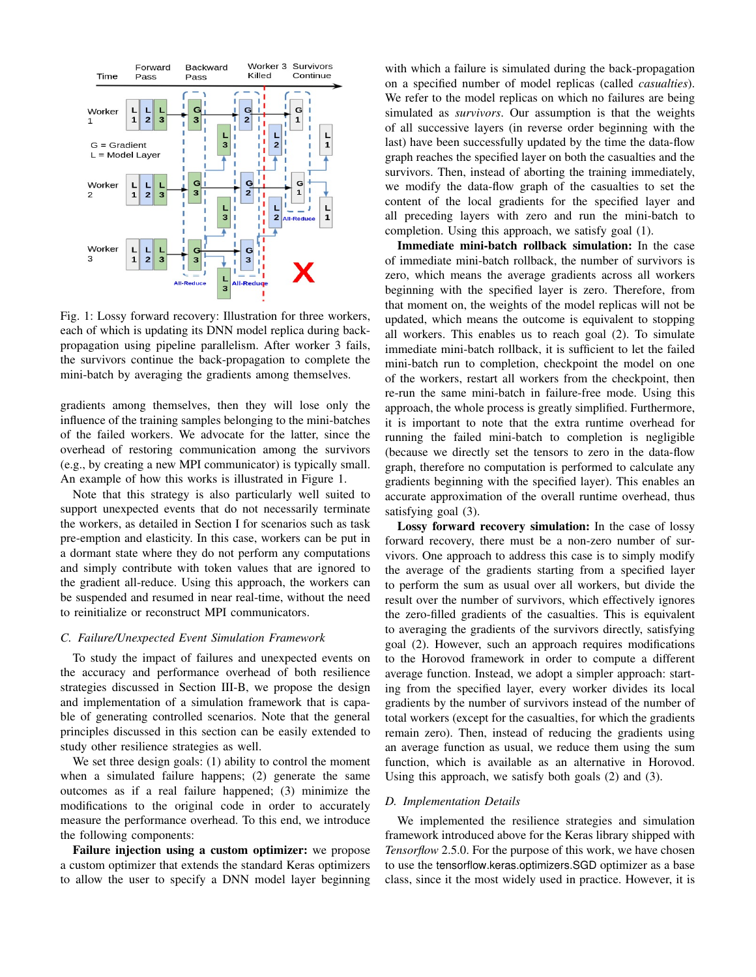

Fig. 1: Lossy forward recovery: Illustration for three workers, each of which is updating its DNN model replica during backpropagation using pipeline parallelism. After worker 3 fails, the survivors continue the back-propagation to complete the mini-batch by averaging the gradients among themselves.

gradients among themselves, then they will lose only the influence of the training samples belonging to the mini-batches of the failed workers. We advocate for the latter, since the overhead of restoring communication among the survivors (e.g., by creating a new MPI communicator) is typically small. An example of how this works is illustrated in Figure 1.

Note that this strategy is also particularly well suited to support unexpected events that do not necessarily terminate the workers, as detailed in Section I for scenarios such as task pre-emption and elasticity. In this case, workers can be put in a dormant state where they do not perform any computations and simply contribute with token values that are ignored to the gradient all-reduce. Using this approach, the workers can be suspended and resumed in near real-time, without the need to reinitialize or reconstruct MPI communicators.

## *C. Failure/Unexpected Event Simulation Framework*

To study the impact of failures and unexpected events on the accuracy and performance overhead of both resilience strategies discussed in Section III-B, we propose the design and implementation of a simulation framework that is capable of generating controlled scenarios. Note that the general principles discussed in this section can be easily extended to study other resilience strategies as well.

We set three design goals: (1) ability to control the moment when a simulated failure happens; (2) generate the same outcomes as if a real failure happened; (3) minimize the modifications to the original code in order to accurately measure the performance overhead. To this end, we introduce the following components:

Failure injection using a custom optimizer: we propose a custom optimizer that extends the standard Keras optimizers to allow the user to specify a DNN model layer beginning

with which a failure is simulated during the back-propagation on a specified number of model replicas (called *casualties*). We refer to the model replicas on which no failures are being simulated as *survivors*. Our assumption is that the weights of all successive layers (in reverse order beginning with the last) have been successfully updated by the time the data-flow graph reaches the specified layer on both the casualties and the survivors. Then, instead of aborting the training immediately, we modify the data-flow graph of the casualties to set the content of the local gradients for the specified layer and all preceding layers with zero and run the mini-batch to completion. Using this approach, we satisfy goal (1).

Immediate mini-batch rollback simulation: In the case of immediate mini-batch rollback, the number of survivors is zero, which means the average gradients across all workers beginning with the specified layer is zero. Therefore, from that moment on, the weights of the model replicas will not be updated, which means the outcome is equivalent to stopping all workers. This enables us to reach goal (2). To simulate immediate mini-batch rollback, it is sufficient to let the failed mini-batch run to completion, checkpoint the model on one of the workers, restart all workers from the checkpoint, then re-run the same mini-batch in failure-free mode. Using this approach, the whole process is greatly simplified. Furthermore, it is important to note that the extra runtime overhead for running the failed mini-batch to completion is negligible (because we directly set the tensors to zero in the data-flow graph, therefore no computation is performed to calculate any gradients beginning with the specified layer). This enables an accurate approximation of the overall runtime overhead, thus satisfying goal (3).

Lossy forward recovery simulation: In the case of lossy forward recovery, there must be a non-zero number of survivors. One approach to address this case is to simply modify the average of the gradients starting from a specified layer to perform the sum as usual over all workers, but divide the result over the number of survivors, which effectively ignores the zero-filled gradients of the casualties. This is equivalent to averaging the gradients of the survivors directly, satisfying goal (2). However, such an approach requires modifications to the Horovod framework in order to compute a different average function. Instead, we adopt a simpler approach: starting from the specified layer, every worker divides its local gradients by the number of survivors instead of the number of total workers (except for the casualties, for which the gradients remain zero). Then, instead of reducing the gradients using an average function as usual, we reduce them using the sum function, which is available as an alternative in Horovod. Using this approach, we satisfy both goals (2) and (3).

## *D. Implementation Details*

We implemented the resilience strategies and simulation framework introduced above for the Keras library shipped with *Tensorflow* 2.5.0. For the purpose of this work, we have chosen to use the tensorflow.keras.optimizers.SGD optimizer as a base class, since it the most widely used in practice. However, it is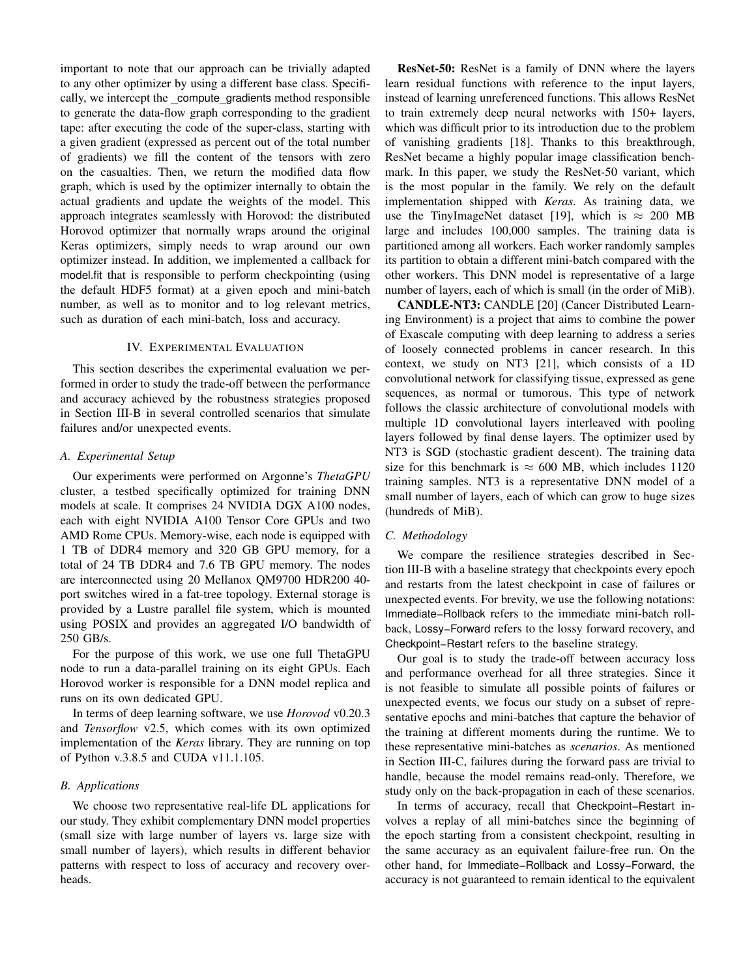important to note that our approach can be trivially adapted to any other optimizer by using a different base class. Specifically, we intercept the compute gradients method responsible to generate the data-flow graph corresponding to the gradient tape: after executing the code of the super-class, starting with a given gradient (expressed as percent out of the total number of gradients) we fill the content of the tensors with zero on the casualties. Then, we return the modified data flow graph, which is used by the optimizer internally to obtain the actual gradients and update the weights of the model. This approach integrates seamlessly with Horovod: the distributed Horovod optimizer that normally wraps around the original Keras optimizers, simply needs to wrap around our own optimizer instead. In addition, we implemented a callback for model.fit that is responsible to perform checkpointing (using the default HDF5 format) at a given epoch and mini-batch number, as well as to monitor and to log relevant metrics, such as duration of each mini-batch, loss and accuracy.

#### IV. EXPERIMENTAL EVALUATION

This section describes the experimental evaluation we performed in order to study the trade-off between the performance and accuracy achieved by the robustness strategies proposed in Section III-B in several controlled scenarios that simulate failures and/or unexpected events.

### *A. Experimental Setup*

Our experiments were performed on Argonne's *ThetaGPU* cluster, a testbed specifically optimized for training DNN models at scale. It comprises 24 NVIDIA DGX A100 nodes, each with eight NVIDIA A100 Tensor Core GPUs and two AMD Rome CPUs. Memory-wise, each node is equipped with 1 TB of DDR4 memory and 320 GB GPU memory, for a total of 24 TB DDR4 and 7.6 TB GPU memory. The nodes are interconnected using 20 Mellanox QM9700 HDR200 40 port switches wired in a fat-tree topology. External storage is provided by a Lustre parallel file system, which is mounted using POSIX and provides an aggregated I/O bandwidth of 250 GB/s.

For the purpose of this work, we use one full ThetaGPU node to run a data-parallel training on its eight GPUs. Each Horovod worker is responsible for a DNN model replica and runs on its own dedicated GPU.

In terms of deep learning software, we use *Horovod* v0.20.3 and *Tensorflow* v2.5, which comes with its own optimized implementation of the *Keras* library. They are running on top of Python v.3.8.5 and CUDA v11.1.105.

## *B. Applications*

We choose two representative real-life DL applications for our study. They exhibit complementary DNN model properties (small size with large number of layers vs. large size with small number of layers), which results in different behavior patterns with respect to loss of accuracy and recovery overheads.

ResNet-50: ResNet is a family of DNN where the layers learn residual functions with reference to the input layers, instead of learning unreferenced functions. This allows ResNet to train extremely deep neural networks with 150+ layers, which was difficult prior to its introduction due to the problem of vanishing gradients [18]. Thanks to this breakthrough, ResNet became a highly popular image classification benchmark. In this paper, we study the ResNet-50 variant, which is the most popular in the family. We rely on the default implementation shipped with *Keras*. As training data, we use the TinyImageNet dataset [19], which is  $\approx 200$  MB large and includes 100,000 samples. The training data is partitioned among all workers. Each worker randomly samples its partition to obtain a different mini-batch compared with the other workers. This DNN model is representative of a large number of layers, each of which is small (in the order of MiB).

CANDLE-NT3: CANDLE [20] (Cancer Distributed Learning Environment) is a project that aims to combine the power of Exascale computing with deep learning to address a series of loosely connected problems in cancer research. In this context, we study on NT3 [21], which consists of a 1D convolutional network for classifying tissue, expressed as gene sequences, as normal or tumorous. This type of network follows the classic architecture of convolutional models with multiple 1D convolutional layers interleaved with pooling layers followed by final dense layers. The optimizer used by NT3 is SGD (stochastic gradient descent). The training data size for this benchmark is  $\approx 600$  MB, which includes 1120 training samples. NT3 is a representative DNN model of a small number of layers, each of which can grow to huge sizes (hundreds of MiB).

#### *C. Methodology*

We compare the resilience strategies described in Section III-B with a baseline strategy that checkpoints every epoch and restarts from the latest checkpoint in case of failures or unexpected events. For brevity, we use the following notations: Immediate−Rollback refers to the immediate mini-batch rollback, Lossy−Forward refers to the lossy forward recovery, and Checkpoint−Restart refers to the baseline strategy.

Our goal is to study the trade-off between accuracy loss and performance overhead for all three strategies. Since it is not feasible to simulate all possible points of failures or unexpected events, we focus our study on a subset of representative epochs and mini-batches that capture the behavior of the training at different moments during the runtime. We to these representative mini-batches as *scenarios*. As mentioned in Section III-C, failures during the forward pass are trivial to handle, because the model remains read-only. Therefore, we study only on the back-propagation in each of these scenarios.

In terms of accuracy, recall that Checkpoint−Restart involves a replay of all mini-batches since the beginning of the epoch starting from a consistent checkpoint, resulting in the same accuracy as an equivalent failure-free run. On the other hand, for Immediate−Rollback and Lossy−Forward, the accuracy is not guaranteed to remain identical to the equivalent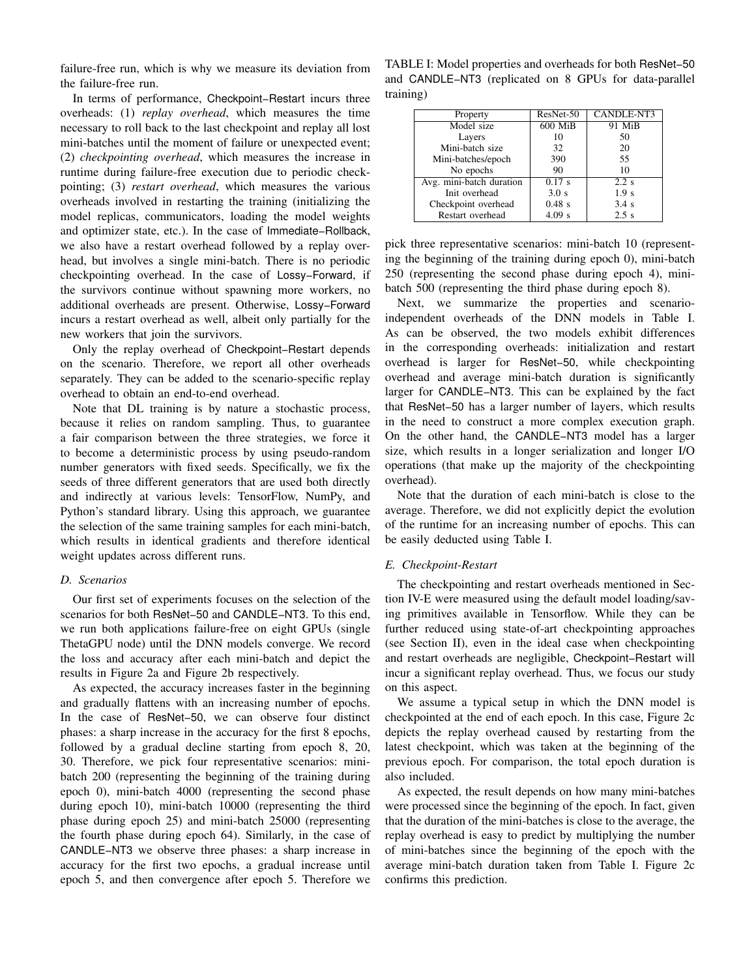failure-free run, which is why we measure its deviation from the failure-free run.

In terms of performance, Checkpoint−Restart incurs three overheads: (1) *replay overhead*, which measures the time necessary to roll back to the last checkpoint and replay all lost mini-batches until the moment of failure or unexpected event; (2) *checkpointing overhead*, which measures the increase in runtime during failure-free execution due to periodic checkpointing; (3) *restart overhead*, which measures the various overheads involved in restarting the training (initializing the model replicas, communicators, loading the model weights and optimizer state, etc.). In the case of Immediate−Rollback, we also have a restart overhead followed by a replay overhead, but involves a single mini-batch. There is no periodic checkpointing overhead. In the case of Lossy−Forward, if the survivors continue without spawning more workers, no additional overheads are present. Otherwise, Lossy−Forward incurs a restart overhead as well, albeit only partially for the new workers that join the survivors.

Only the replay overhead of Checkpoint−Restart depends on the scenario. Therefore, we report all other overheads separately. They can be added to the scenario-specific replay overhead to obtain an end-to-end overhead.

Note that DL training is by nature a stochastic process, because it relies on random sampling. Thus, to guarantee a fair comparison between the three strategies, we force it to become a deterministic process by using pseudo-random number generators with fixed seeds. Specifically, we fix the seeds of three different generators that are used both directly and indirectly at various levels: TensorFlow, NumPy, and Python's standard library. Using this approach, we guarantee the selection of the same training samples for each mini-batch, which results in identical gradients and therefore identical weight updates across different runs.

### *D. Scenarios*

Our first set of experiments focuses on the selection of the scenarios for both ResNet−50 and CANDLE−NT3. To this end, we run both applications failure-free on eight GPUs (single ThetaGPU node) until the DNN models converge. We record the loss and accuracy after each mini-batch and depict the results in Figure 2a and Figure 2b respectively.

As expected, the accuracy increases faster in the beginning and gradually flattens with an increasing number of epochs. In the case of ResNet−50, we can observe four distinct phases: a sharp increase in the accuracy for the first 8 epochs, followed by a gradual decline starting from epoch 8, 20, 30. Therefore, we pick four representative scenarios: minibatch 200 (representing the beginning of the training during epoch 0), mini-batch 4000 (representing the second phase during epoch 10), mini-batch 10000 (representing the third phase during epoch 25) and mini-batch 25000 (representing the fourth phase during epoch 64). Similarly, in the case of CANDLE−NT3 we observe three phases: a sharp increase in accuracy for the first two epochs, a gradual increase until epoch 5, and then convergence after epoch 5. Therefore we

TABLE I: Model properties and overheads for both ResNet−50 and CANDLE−NT3 (replicated on 8 GPUs for data-parallel training)

| Property                 | ResNet-50 | CANDLE-NT3       |
|--------------------------|-----------|------------------|
| Model size               | 600 MiB   | 91 MiB           |
| Layers                   | 10        | 50               |
| Mini-batch size          | 32        | 20               |
| Mini-batches/epoch       | 390       | 55               |
| No epochs                | 90        | 10               |
| Avg. mini-batch duration | 0.17 s    | $2.2$ s          |
| Init overhead            | 3.0 s     | 1.9 <sub>s</sub> |
| Checkpoint overhead      | $0.48$ s  | 3.4s             |
| Restart overhead         | $4.09$ s  | 2.5 s            |

pick three representative scenarios: mini-batch 10 (representing the beginning of the training during epoch 0), mini-batch 250 (representing the second phase during epoch 4), minibatch 500 (representing the third phase during epoch 8).

Next, we summarize the properties and scenarioindependent overheads of the DNN models in Table I. As can be observed, the two models exhibit differences in the corresponding overheads: initialization and restart overhead is larger for ResNet−50, while checkpointing overhead and average mini-batch duration is significantly larger for CANDLE−NT3. This can be explained by the fact that ResNet−50 has a larger number of layers, which results in the need to construct a more complex execution graph. On the other hand, the CANDLE−NT3 model has a larger size, which results in a longer serialization and longer I/O operations (that make up the majority of the checkpointing overhead).

Note that the duration of each mini-batch is close to the average. Therefore, we did not explicitly depict the evolution of the runtime for an increasing number of epochs. This can be easily deducted using Table I.

#### *E. Checkpoint-Restart*

The checkpointing and restart overheads mentioned in Section IV-E were measured using the default model loading/saving primitives available in Tensorflow. While they can be further reduced using state-of-art checkpointing approaches (see Section II), even in the ideal case when checkpointing and restart overheads are negligible, Checkpoint−Restart will incur a significant replay overhead. Thus, we focus our study on this aspect.

We assume a typical setup in which the DNN model is checkpointed at the end of each epoch. In this case, Figure 2c depicts the replay overhead caused by restarting from the latest checkpoint, which was taken at the beginning of the previous epoch. For comparison, the total epoch duration is also included.

As expected, the result depends on how many mini-batches were processed since the beginning of the epoch. In fact, given that the duration of the mini-batches is close to the average, the replay overhead is easy to predict by multiplying the number of mini-batches since the beginning of the epoch with the average mini-batch duration taken from Table I. Figure 2c confirms this prediction.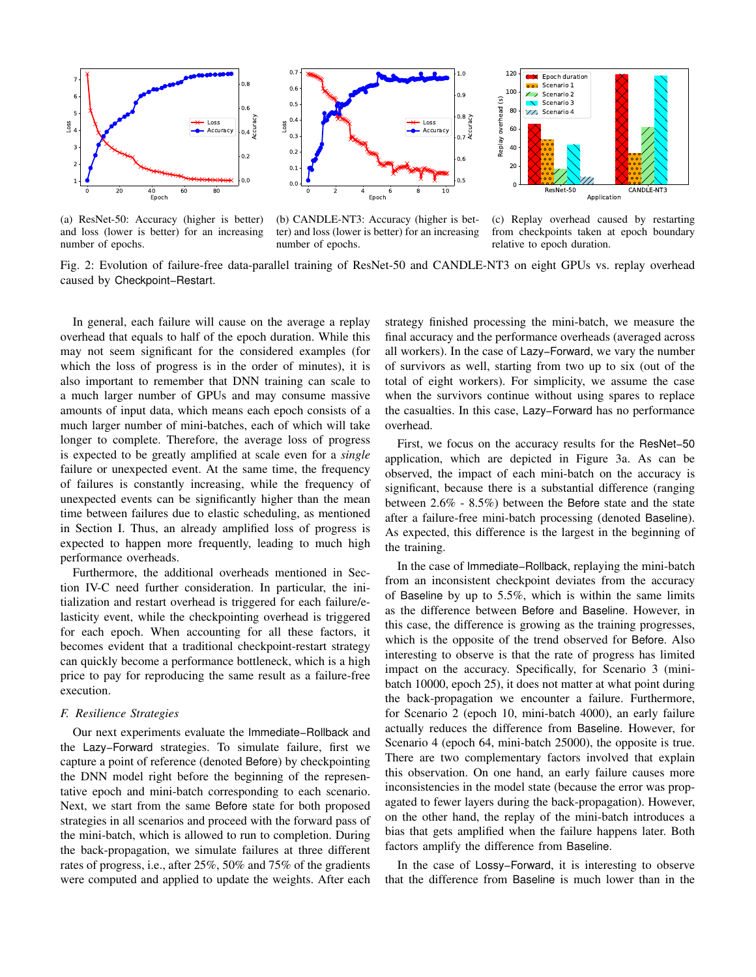

(a) ResNet-50: Accuracy (higher is better) and loss (lower is better) for an increasing number of epochs.



Replay overhead (s) Replay overhead (s) 60 - - $\Delta f$  $\sim$   $\sim$   $\sim$   $\sim$ -- - CANDI F-NT3 Application

Epoch duration Scenario 1 Scenario 2 Scenario 3 /// Scenario 4

80 100 --- -

 $120$  $\overline{\mathbf{X}}$ 

(b) CANDLE-NT3: Accuracy (higher is better) and loss (lower is better) for an increasing number of epochs.

(c) Replay overhead caused by restarting from checkpoints taken at epoch boundary relative to epoch duration.

Fig. 2: Evolution of failure-free data-parallel training of ResNet-50 and CANDLE-NT3 on eight GPUs vs. replay overhead caused by Checkpoint−Restart.

In general, each failure will cause on the average a replay overhead that equals to half of the epoch duration. While this may not seem significant for the considered examples (for which the loss of progress is in the order of minutes), it is also important to remember that DNN training can scale to a much larger number of GPUs and may consume massive amounts of input data, which means each epoch consists of a much larger number of mini-batches, each of which will take longer to complete. Therefore, the average loss of progress is expected to be greatly amplified at scale even for a *single* failure or unexpected event. At the same time, the frequency of failures is constantly increasing, while the frequency of unexpected events can be significantly higher than the mean time between failures due to elastic scheduling, as mentioned in Section I. Thus, an already amplified loss of progress is expected to happen more frequently, leading to much high performance overheads.

Furthermore, the additional overheads mentioned in Section IV-C need further consideration. In particular, the initialization and restart overhead is triggered for each failure/elasticity event, while the checkpointing overhead is triggered for each epoch. When accounting for all these factors, it becomes evident that a traditional checkpoint-restart strategy can quickly become a performance bottleneck, which is a high price to pay for reproducing the same result as a failure-free execution.

## *F. Resilience Strategies*

Our next experiments evaluate the Immediate−Rollback and the Lazy−Forward strategies. To simulate failure, first we capture a point of reference (denoted Before) by checkpointing the DNN model right before the beginning of the representative epoch and mini-batch corresponding to each scenario. Next, we start from the same Before state for both proposed strategies in all scenarios and proceed with the forward pass of the mini-batch, which is allowed to run to completion. During the back-propagation, we simulate failures at three different rates of progress, i.e., after 25%, 50% and 75% of the gradients were computed and applied to update the weights. After each

strategy finished processing the mini-batch, we measure the final accuracy and the performance overheads (averaged across all workers). In the case of Lazy−Forward, we vary the number of survivors as well, starting from two up to six (out of the total of eight workers). For simplicity, we assume the case when the survivors continue without using spares to replace the casualties. In this case, Lazy−Forward has no performance overhead.

First, we focus on the accuracy results for the ResNet−50 application, which are depicted in Figure 3a. As can be observed, the impact of each mini-batch on the accuracy is significant, because there is a substantial difference (ranging between 2.6% - 8.5%) between the Before state and the state after a failure-free mini-batch processing (denoted Baseline). As expected, this difference is the largest in the beginning of the training.

In the case of Immediate−Rollback, replaying the mini-batch from an inconsistent checkpoint deviates from the accuracy of Baseline by up to 5.5%, which is within the same limits as the difference between Before and Baseline. However, in this case, the difference is growing as the training progresses, which is the opposite of the trend observed for Before. Also interesting to observe is that the rate of progress has limited impact on the accuracy. Specifically, for Scenario 3 (minibatch 10000, epoch 25), it does not matter at what point during the back-propagation we encounter a failure. Furthermore, for Scenario 2 (epoch 10, mini-batch 4000), an early failure actually reduces the difference from Baseline. However, for Scenario 4 (epoch 64, mini-batch 25000), the opposite is true. There are two complementary factors involved that explain this observation. On one hand, an early failure causes more inconsistencies in the model state (because the error was propagated to fewer layers during the back-propagation). However, on the other hand, the replay of the mini-batch introduces a bias that gets amplified when the failure happens later. Both factors amplify the difference from Baseline.

In the case of Lossy−Forward, it is interesting to observe that the difference from Baseline is much lower than in the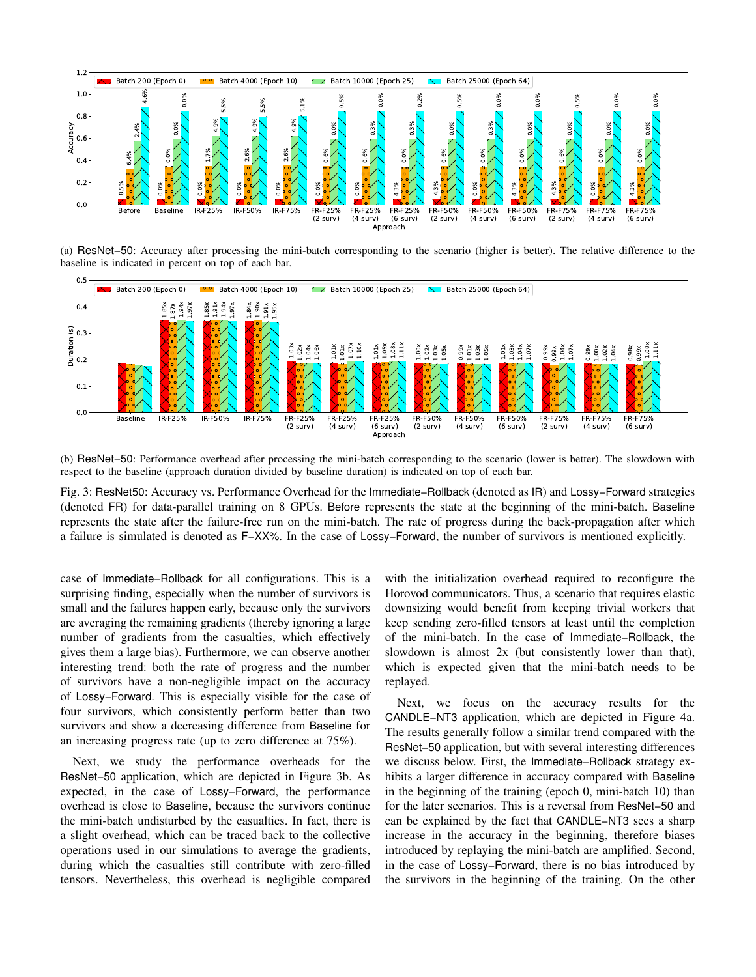

(a) ResNet−50: Accuracy after processing the mini-batch corresponding to the scenario (higher is better). The relative difference to the baseline is indicated in percent on top of each bar.



(b) ResNet−50: Performance overhead after processing the mini-batch corresponding to the scenario (lower is better). The slowdown with respect to the baseline (approach duration divided by baseline duration) is indicated on top of each bar.

Fig. 3: ResNet50: Accuracy vs. Performance Overhead for the Immediate−Rollback (denoted as IR) and Lossy−Forward strategies (denoted FR) for data-parallel training on 8 GPUs. Before represents the state at the beginning of the mini-batch. Baseline represents the state after the failure-free run on the mini-batch. The rate of progress during the back-propagation after which a failure is simulated is denoted as F−XX%. In the case of Lossy−Forward, the number of survivors is mentioned explicitly.

case of Immediate−Rollback for all configurations. This is a surprising finding, especially when the number of survivors is small and the failures happen early, because only the survivors are averaging the remaining gradients (thereby ignoring a large number of gradients from the casualties, which effectively gives them a large bias). Furthermore, we can observe another interesting trend: both the rate of progress and the number of survivors have a non-negligible impact on the accuracy of Lossy−Forward. This is especially visible for the case of four survivors, which consistently perform better than two survivors and show a decreasing difference from Baseline for an increasing progress rate (up to zero difference at 75%).

Next, we study the performance overheads for the ResNet−50 application, which are depicted in Figure 3b. As expected, in the case of Lossy−Forward, the performance overhead is close to Baseline, because the survivors continue the mini-batch undisturbed by the casualties. In fact, there is a slight overhead, which can be traced back to the collective operations used in our simulations to average the gradients, during which the casualties still contribute with zero-filled tensors. Nevertheless, this overhead is negligible compared

with the initialization overhead required to reconfigure the Horovod communicators. Thus, a scenario that requires elastic downsizing would benefit from keeping trivial workers that keep sending zero-filled tensors at least until the completion of the mini-batch. In the case of Immediate−Rollback, the slowdown is almost 2x (but consistently lower than that), which is expected given that the mini-batch needs to be replayed.

Next, we focus on the accuracy results for the CANDLE−NT3 application, which are depicted in Figure 4a. The results generally follow a similar trend compared with the ResNet−50 application, but with several interesting differences we discuss below. First, the Immediate−Rollback strategy exhibits a larger difference in accuracy compared with Baseline in the beginning of the training (epoch 0, mini-batch 10) than for the later scenarios. This is a reversal from ResNet−50 and can be explained by the fact that CANDLE−NT3 sees a sharp increase in the accuracy in the beginning, therefore biases introduced by replaying the mini-batch are amplified. Second, in the case of Lossy−Forward, there is no bias introduced by the survivors in the beginning of the training. On the other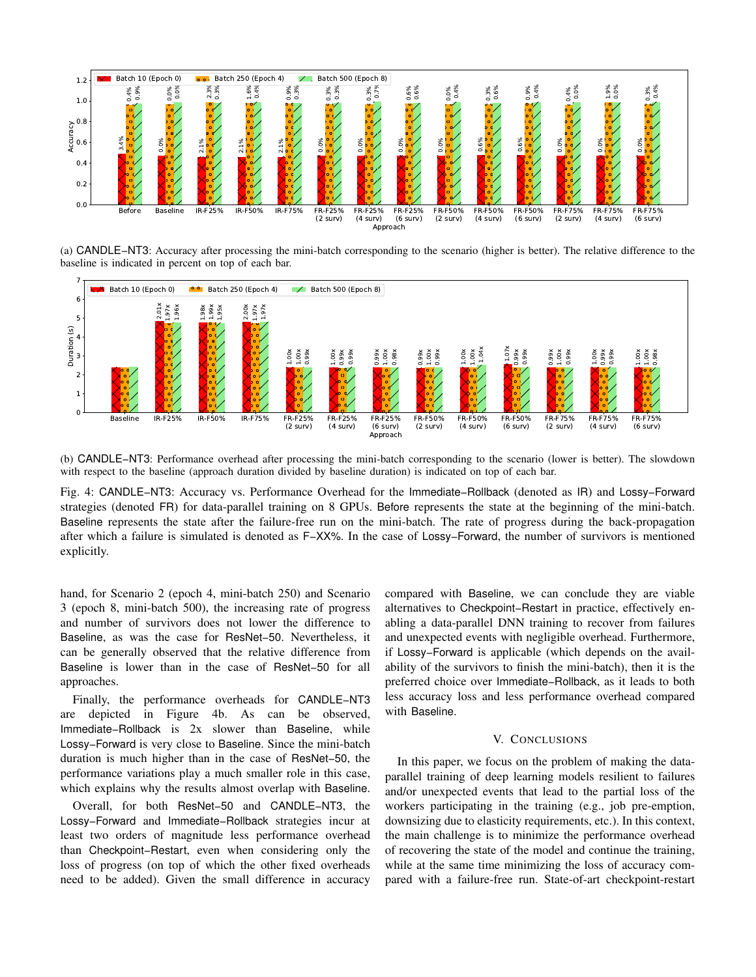

(a) CANDLE−NT3: Accuracy after processing the mini-batch corresponding to the scenario (higher is better). The relative difference to the baseline is indicated in percent on top of each bar.



(b) CANDLE−NT3: Performance overhead after processing the mini-batch corresponding to the scenario (lower is better). The slowdown with respect to the baseline (approach duration divided by baseline duration) is indicated on top of each bar.

Fig. 4: CANDLE−NT3: Accuracy vs. Performance Overhead for the Immediate−Rollback (denoted as IR) and Lossy−Forward strategies (denoted FR) for data-parallel training on 8 GPUs. Before represents the state at the beginning of the mini-batch. Baseline represents the state after the failure-free run on the mini-batch. The rate of progress during the back-propagation after which a failure is simulated is denoted as F−XX%. In the case of Lossy−Forward, the number of survivors is mentioned explicitly.

hand, for Scenario 2 (epoch 4, mini-batch 250) and Scenario 3 (epoch 8, mini-batch 500), the increasing rate of progress and number of survivors does not lower the difference to Baseline, as was the case for ResNet−50. Nevertheless, it can be generally observed that the relative difference from Baseline is lower than in the case of ResNet−50 for all approaches.

Finally, the performance overheads for CANDLE−NT3 are depicted in Figure 4b. As can be observed, Immediate−Rollback is 2x slower than Baseline, while Lossy−Forward is very close to Baseline. Since the mini-batch duration is much higher than in the case of ResNet−50, the performance variations play a much smaller role in this case, which explains why the results almost overlap with Baseline.

Overall, for both ResNet−50 and CANDLE−NT3, the Lossy−Forward and Immediate−Rollback strategies incur at least two orders of magnitude less performance overhead than Checkpoint−Restart, even when considering only the loss of progress (on top of which the other fixed overheads need to be added). Given the small difference in accuracy

compared with Baseline, we can conclude they are viable alternatives to Checkpoint−Restart in practice, effectively enabling a data-parallel DNN training to recover from failures and unexpected events with negligible overhead. Furthermore, if Lossy−Forward is applicable (which depends on the availability of the survivors to finish the mini-batch), then it is the preferred choice over Immediate−Rollback, as it leads to both less accuracy loss and less performance overhead compared with Baseline.

## V. CONCLUSIONS

In this paper, we focus on the problem of making the dataparallel training of deep learning models resilient to failures and/or unexpected events that lead to the partial loss of the workers participating in the training (e.g., job pre-emption, downsizing due to elasticity requirements, etc.). In this context, the main challenge is to minimize the performance overhead of recovering the state of the model and continue the training, while at the same time minimizing the loss of accuracy compared with a failure-free run. State-of-art checkpoint-restart